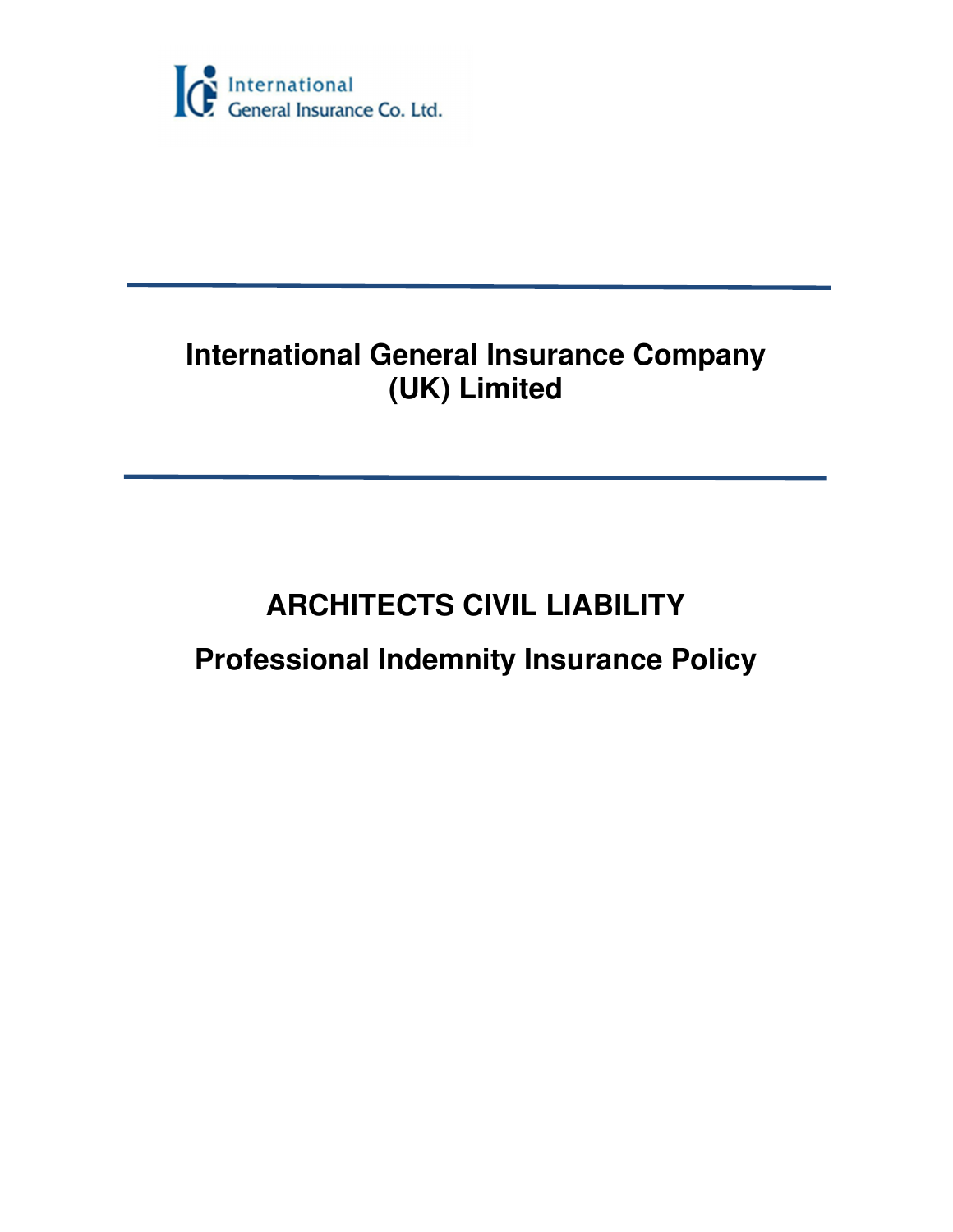

# **International General Insurance Company (UK) Limited**

# **ARCHITECTS CIVIL LIABILITY Professional Indemnity Insurance Policy**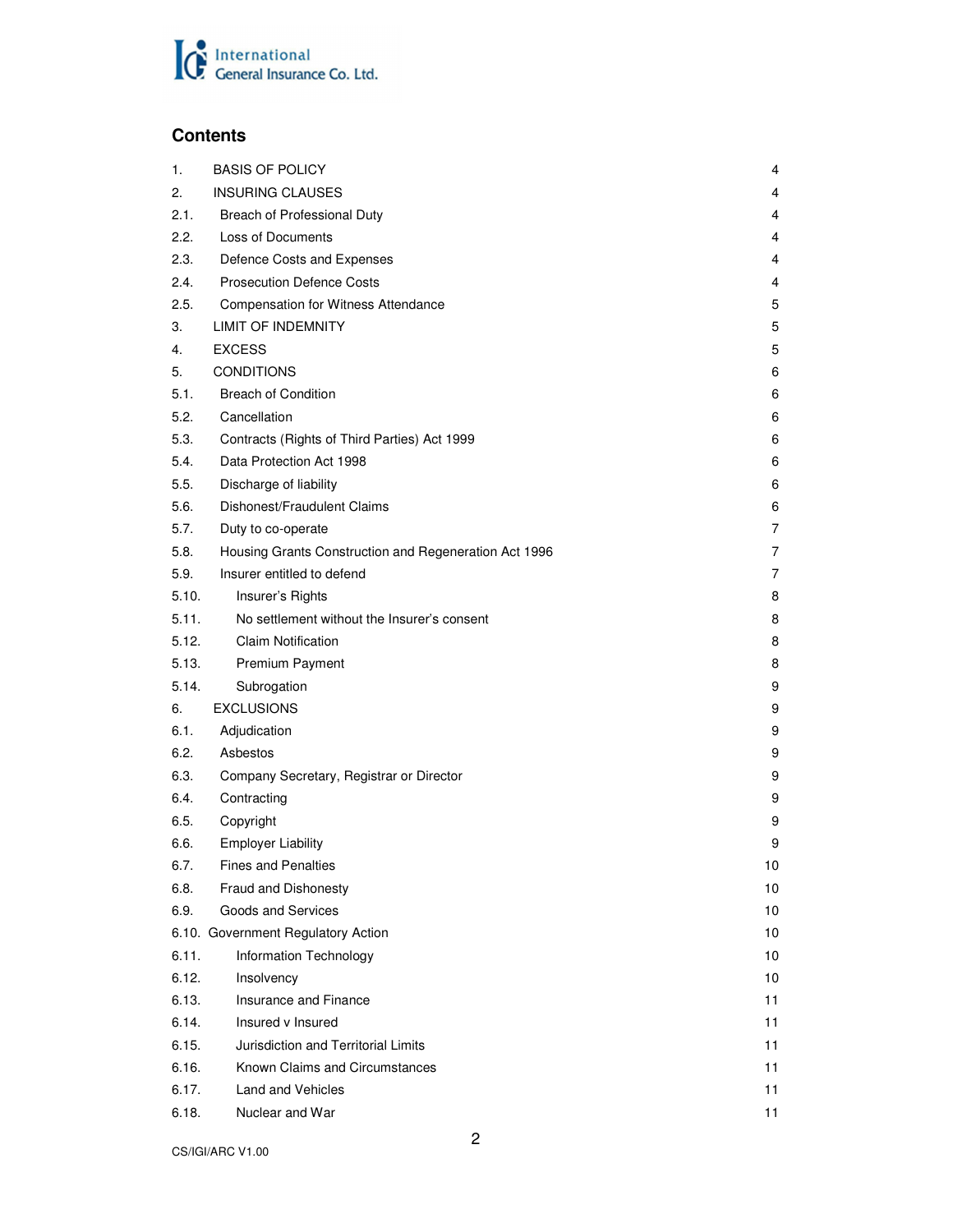

# **Contents**

| 1.    | <b>BASIS OF POLICY</b>                                | 4  |
|-------|-------------------------------------------------------|----|
| 2.    | <b>INSURING CLAUSES</b>                               | 4  |
| 2.1.  | Breach of Professional Duty                           | 4  |
| 2.2.  | <b>Loss of Documents</b>                              | 4  |
| 2.3.  | Defence Costs and Expenses                            | 4  |
| 2.4.  | <b>Prosecution Defence Costs</b>                      | 4  |
| 2.5.  | <b>Compensation for Witness Attendance</b>            | 5  |
| 3.    | <b>LIMIT OF INDEMNITY</b>                             | 5  |
| 4.    | <b>EXCESS</b>                                         | 5  |
| 5.    | <b>CONDITIONS</b>                                     | 6  |
| 5.1.  | <b>Breach of Condition</b>                            | 6  |
| 5.2.  | Cancellation                                          | 6  |
| 5.3.  | Contracts (Rights of Third Parties) Act 1999          | 6  |
| 5.4.  | Data Protection Act 1998                              | 6  |
| 5.5.  | Discharge of liability                                | 6  |
| 5.6.  | Dishonest/Fraudulent Claims                           | 6  |
| 5.7.  | Duty to co-operate                                    | 7  |
| 5.8.  | Housing Grants Construction and Regeneration Act 1996 | 7  |
| 5.9.  | Insurer entitled to defend                            | 7  |
| 5.10. | Insurer's Rights                                      | 8  |
| 5.11. | No settlement without the Insurer's consent           | 8  |
| 5.12. | <b>Claim Notification</b>                             | 8  |
| 5.13. | Premium Payment                                       | 8  |
| 5.14. | Subrogation                                           | 9  |
| 6.    | <b>EXCLUSIONS</b>                                     | 9  |
| 6.1.  | Adjudication                                          | 9  |
| 6.2.  | Asbestos                                              | 9  |
| 6.3.  | Company Secretary, Registrar or Director              | 9  |
| 6.4.  | Contracting                                           | 9  |
| 6.5.  | Copyright                                             | 9  |
| 6.6.  | <b>Employer Liability</b>                             | 9  |
| 6.7.  | <b>Fines and Penalties</b>                            | 10 |
| 6.8.  | <b>Fraud and Dishonesty</b>                           | 10 |
| 6.9.  | Goods and Services                                    | 10 |
|       | 6.10. Government Regulatory Action                    | 10 |
| 6.11. | Information Technology                                | 10 |
| 6.12. | Insolvency                                            | 10 |
| 6.13. | Insurance and Finance                                 | 11 |
| 6.14. | Insured v Insured                                     | 11 |
| 6.15. | Jurisdiction and Territorial Limits                   | 11 |
| 6.16. | Known Claims and Circumstances                        | 11 |
| 6.17. | <b>Land and Vehicles</b>                              | 11 |
| 6.18. | Nuclear and War                                       | 11 |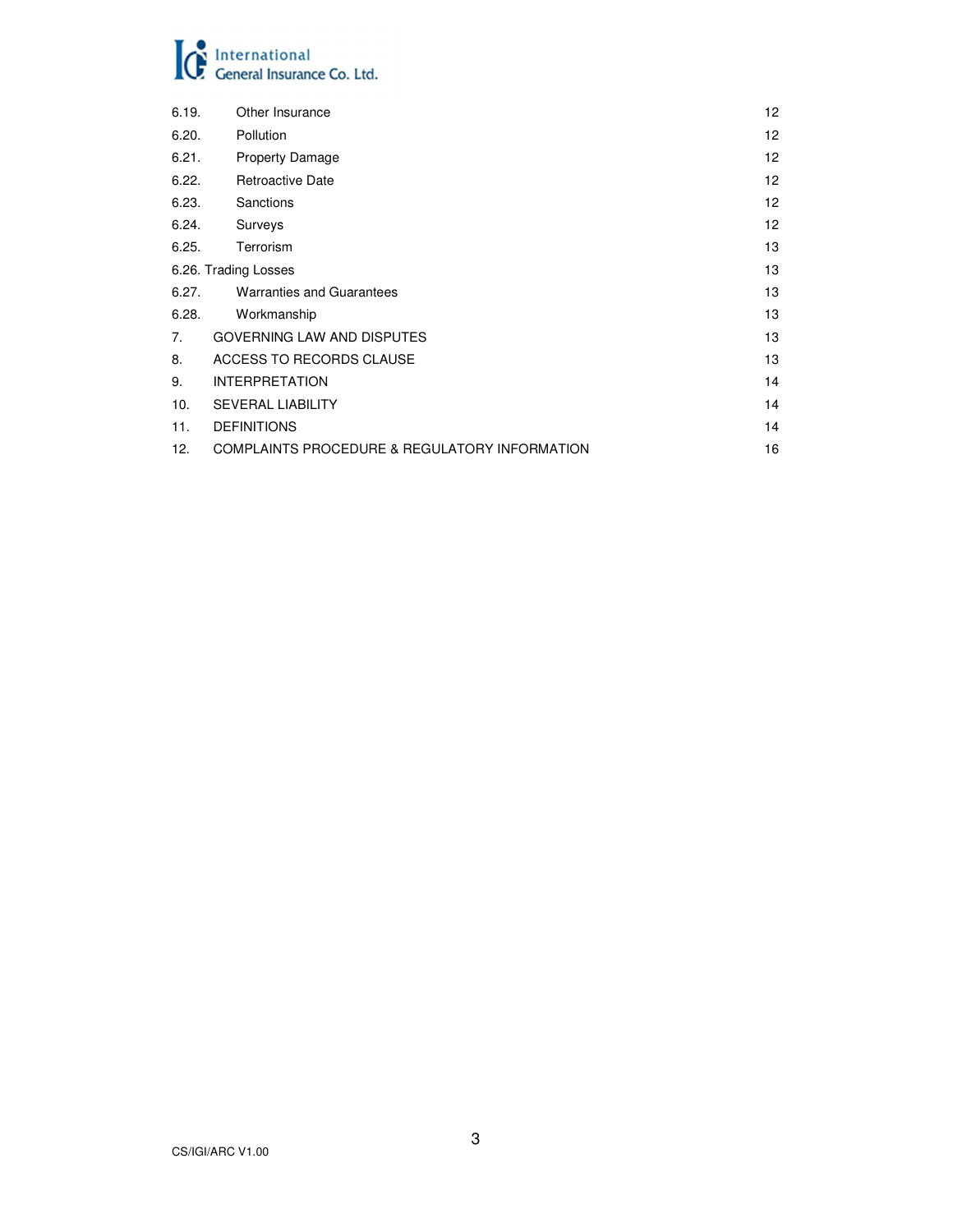# **C** International<br>General Insurance Co. Ltd.

| 6.19.                | Other Insurance                               | 12 |
|----------------------|-----------------------------------------------|----|
| 6.20.                | Pollution                                     | 12 |
| 6.21.                | <b>Property Damage</b>                        | 12 |
| 6.22.                | <b>Retroactive Date</b>                       | 12 |
| 6.23.                | Sanctions                                     | 12 |
| 6.24.                | Surveys                                       | 12 |
| 6.25.                | Terrorism                                     | 13 |
| 6.26. Trading Losses |                                               | 13 |
| 6.27.                | <b>Warranties and Guarantees</b>              | 13 |
| 6.28.                | Workmanship                                   | 13 |
| 7.                   | GOVERNING LAW AND DISPUTES                    | 13 |
| 8.                   | ACCESS TO RECORDS CLAUSE                      | 13 |
| 9.                   | <b>INTERPRETATION</b>                         | 14 |
| 10.                  | <b>SEVERAL LIABILITY</b>                      | 14 |
| 11.                  | <b>DEFINITIONS</b>                            | 14 |
| 12.                  | COMPLAINTS PROCEDURE & REGULATORY INFORMATION | 16 |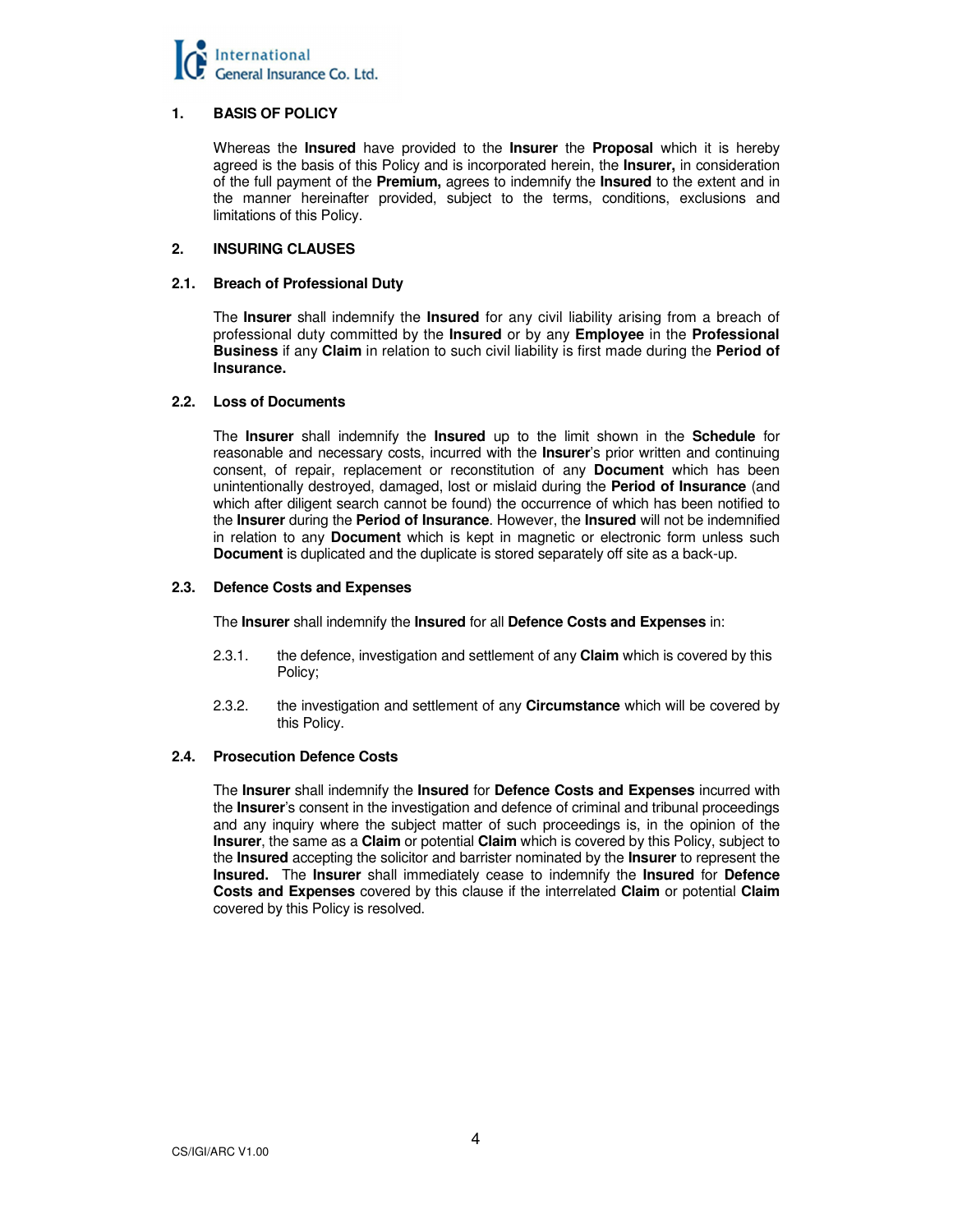

# **1. BASIS OF POLICY**

 Whereas the **Insured** have provided to the **Insurer** the **Proposal** which it is hereby agreed is the basis of this Policy and is incorporated herein, the **Insurer,** in consideration of the full payment of the **Premium,** agrees to indemnify the **Insured** to the extent and in the manner hereinafter provided, subject to the terms, conditions, exclusions and limitations of this Policy.

# **2. INSURING CLAUSES**

# **2.1. Breach of Professional Duty**

The **Insurer** shall indemnify the **Insured** for any civil liability arising from a breach of professional duty committed by the **Insured** or by any **Employee** in the **Professional Business** if any **Claim** in relation to such civil liability is first made during the **Period of Insurance.** 

# **2.2. Loss of Documents**

 The **Insurer** shall indemnify the **Insured** up to the limit shown in the **Schedule** for reasonable and necessary costs, incurred with the **Insurer**'s prior written and continuing consent, of repair, replacement or reconstitution of any **Document** which has been unintentionally destroyed, damaged, lost or mislaid during the **Period of Insurance** (and which after diligent search cannot be found) the occurrence of which has been notified to the **Insurer** during the **Period of Insurance**. However, the **Insured** will not be indemnified in relation to any **Document** which is kept in magnetic or electronic form unless such **Document** is duplicated and the duplicate is stored separately off site as a back-up.

# **2.3. Defence Costs and Expenses**

The **Insurer** shall indemnify the **Insured** for all **Defence Costs and Expenses** in:

- 2.3.1. the defence, investigation and settlement of any **Claim** which is covered by this Policy;
- 2.3.2. the investigation and settlement of any **Circumstance** which will be covered by this Policy.

# **2.4. Prosecution Defence Costs**

 The **Insurer** shall indemnify the **Insured** for **Defence Costs and Expenses** incurred with the **Insurer**'s consent in the investigation and defence of criminal and tribunal proceedings and any inquiry where the subject matter of such proceedings is, in the opinion of the **Insurer**, the same as a **Claim** or potential **Claim** which is covered by this Policy, subject to the **Insured** accepting the solicitor and barrister nominated by the **Insurer** to represent the **Insured.** The **Insurer** shall immediately cease to indemnify the **Insured** for **Defence Costs and Expenses** covered by this clause if the interrelated **Claim** or potential **Claim** covered by this Policy is resolved.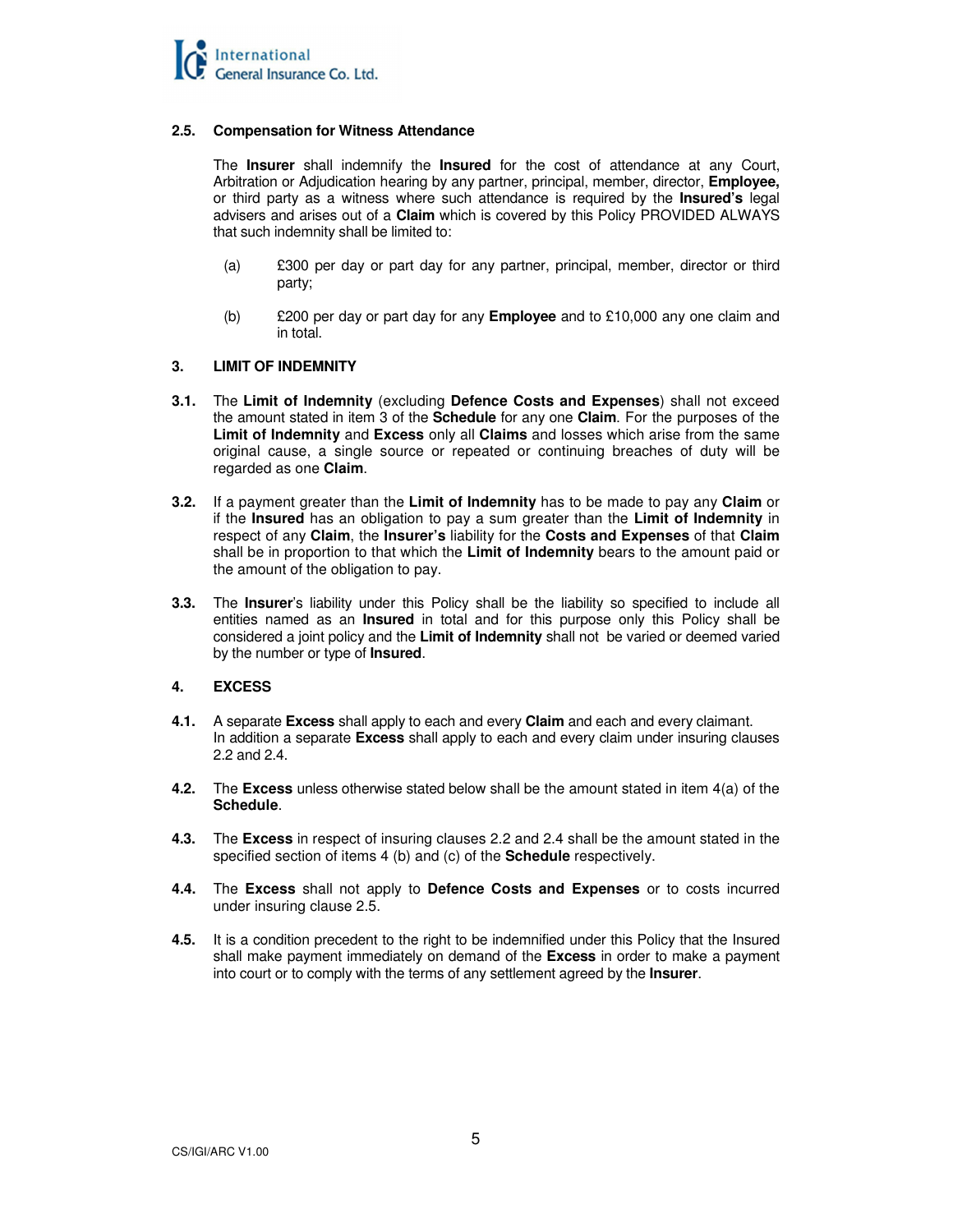

# **2.5. Compensation for Witness Attendance**

 The **Insurer** shall indemnify the **Insured** for the cost of attendance at any Court, Arbitration or Adjudication hearing by any partner, principal, member, director, **Employee,** or third party as a witness where such attendance is required by the **Insured's** legal advisers and arises out of a **Claim** which is covered by this Policy PROVIDED ALWAYS that such indemnity shall be limited to:

- (a) £300 per day or part day for any partner, principal, member, director or third party;
- (b) £200 per day or part day for any **Employee** and to £10,000 any one claim and in total.

# **3. LIMIT OF INDEMNITY**

- **3.1.** The **Limit of Indemnity** (excluding **Defence Costs and Expenses**) shall not exceed the amount stated in item 3 of the **Schedule** for any one **Claim**. For the purposes of the **Limit of Indemnity** and **Excess** only all **Claims** and losses which arise from the same original cause, a single source or repeated or continuing breaches of duty will be regarded as one **Claim**.
- **3.2.** If a payment greater than the **Limit of Indemnity** has to be made to pay any **Claim** or if the **Insured** has an obligation to pay a sum greater than the **Limit of Indemnity** in respect of any **Claim**, the **Insurer's** liability for the **Costs and Expenses** of that **Claim**  shall be in proportion to that which the **Limit of Indemnity** bears to the amount paid or the amount of the obligation to pay.
- **3.3.** The **Insurer**'s liability under this Policy shall be the liability so specified to include all entities named as an **Insured** in total and for this purpose only this Policy shall be considered a joint policy and the **Limit of Indemnity** shall not be varied or deemed varied by the number or type of **Insured**.

# **4. EXCESS**

- **4.1.** A separate **Excess** shall apply to each and every **Claim** and each and every claimant. In addition a separate **Excess** shall apply to each and every claim under insuring clauses 2.2 and 2.4.
- **4.2.** The **Excess** unless otherwise stated below shall be the amount stated in item 4(a) of the **Schedule**.
- **4.3.** The **Excess** in respect of insuring clauses 2.2 and 2.4 shall be the amount stated in the specified section of items 4 (b) and (c) of the **Schedule** respectively.
- **4.4.** The **Excess** shall not apply to **Defence Costs and Expenses** or to costs incurred under insuring clause 2.5.
- **4.5.** It is a condition precedent to the right to be indemnified under this Policy that the Insured shall make payment immediately on demand of the **Excess** in order to make a payment into court or to comply with the terms of any settlement agreed by the **Insurer**.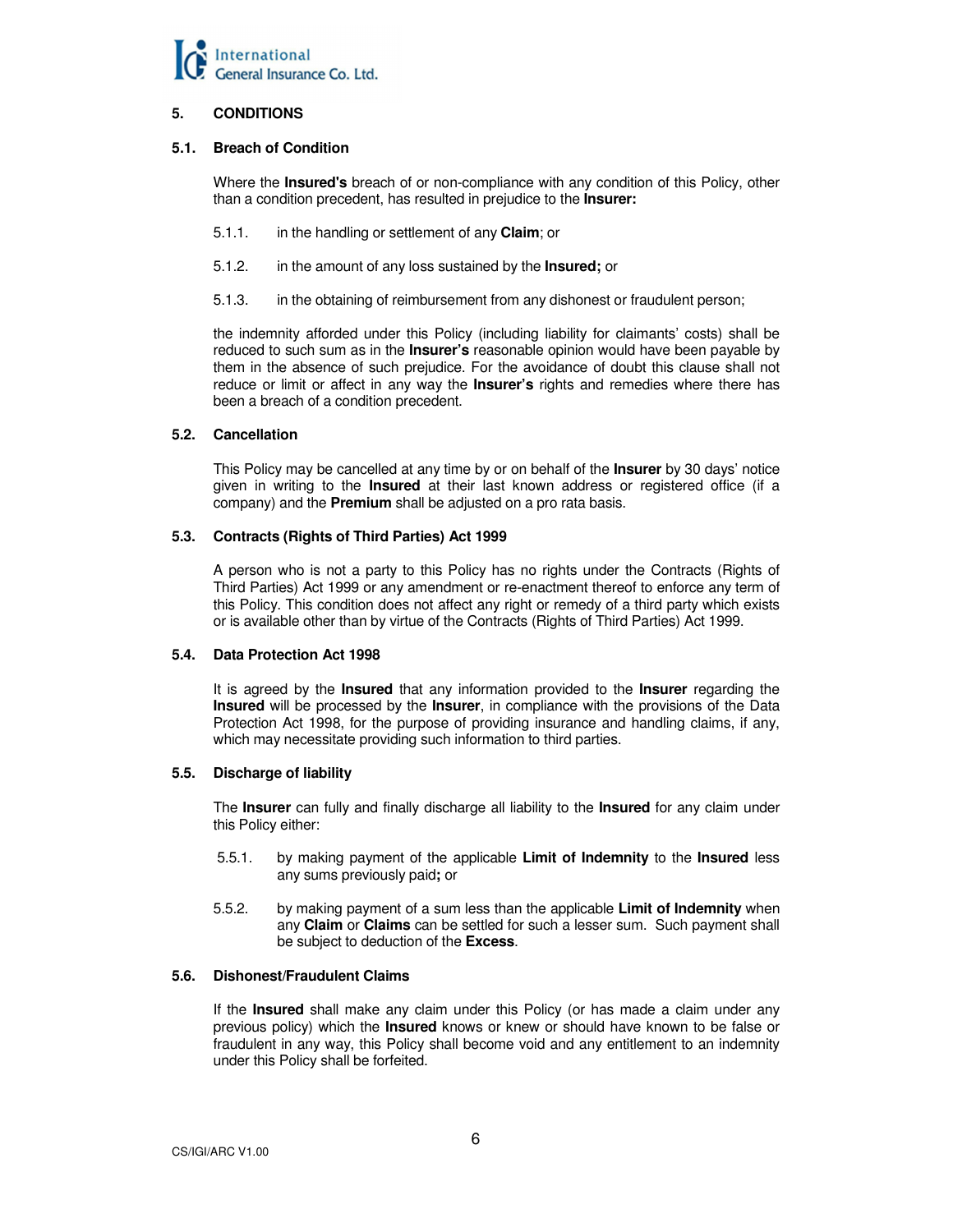

# **5. CONDITIONS**

# **5.1. Breach of Condition**

 Where the **Insured's** breach of or non-compliance with any condition of this Policy, other than a condition precedent, has resulted in prejudice to the **Insurer:** 

- 5.1.1. in the handling or settlement of any **Claim**; or
- 5.1.2. in the amount of any loss sustained by the **Insured;** or
- 5.1.3. in the obtaining of reimbursement from any dishonest or fraudulent person;

 the indemnity afforded under this Policy (including liability for claimants' costs) shall be reduced to such sum as in the **Insurer's** reasonable opinion would have been payable by them in the absence of such prejudice. For the avoidance of doubt this clause shall not reduce or limit or affect in any way the **Insurer's** rights and remedies where there has been a breach of a condition precedent.

# **5.2. Cancellation**

 This Policy may be cancelled at any time by or on behalf of the **Insurer** by 30 days' notice given in writing to the **Insured** at their last known address or registered office (if a company) and the **Premium** shall be adjusted on a pro rata basis.

# **5.3. Contracts (Rights of Third Parties) Act 1999**

 A person who is not a party to this Policy has no rights under the Contracts (Rights of Third Parties) Act 1999 or any amendment or re-enactment thereof to enforce any term of this Policy. This condition does not affect any right or remedy of a third party which exists or is available other than by virtue of the Contracts (Rights of Third Parties) Act 1999.

# **5.4. Data Protection Act 1998**

 It is agreed by the **Insured** that any information provided to the **Insurer** regarding the **Insured** will be processed by the **Insurer**, in compliance with the provisions of the Data Protection Act 1998, for the purpose of providing insurance and handling claims, if any, which may necessitate providing such information to third parties.

# **5.5. Discharge of liability**

 The **Insurer** can fully and finally discharge all liability to the **Insured** for any claim under this Policy either:

- 5.5.1. by making payment of the applicable **Limit of Indemnity** to the **Insured** less any sums previously paid**;** or
- 5.5.2. by making payment of a sum less than the applicable **Limit of Indemnity** when any **Claim** or **Claims** can be settled for such a lesser sum. Such payment shall be subject to deduction of the **Excess**.

# **5.6. Dishonest/Fraudulent Claims**

 If the **Insured** shall make any claim under this Policy (or has made a claim under any previous policy) which the **Insured** knows or knew or should have known to be false or fraudulent in any way, this Policy shall become void and any entitlement to an indemnity under this Policy shall be forfeited.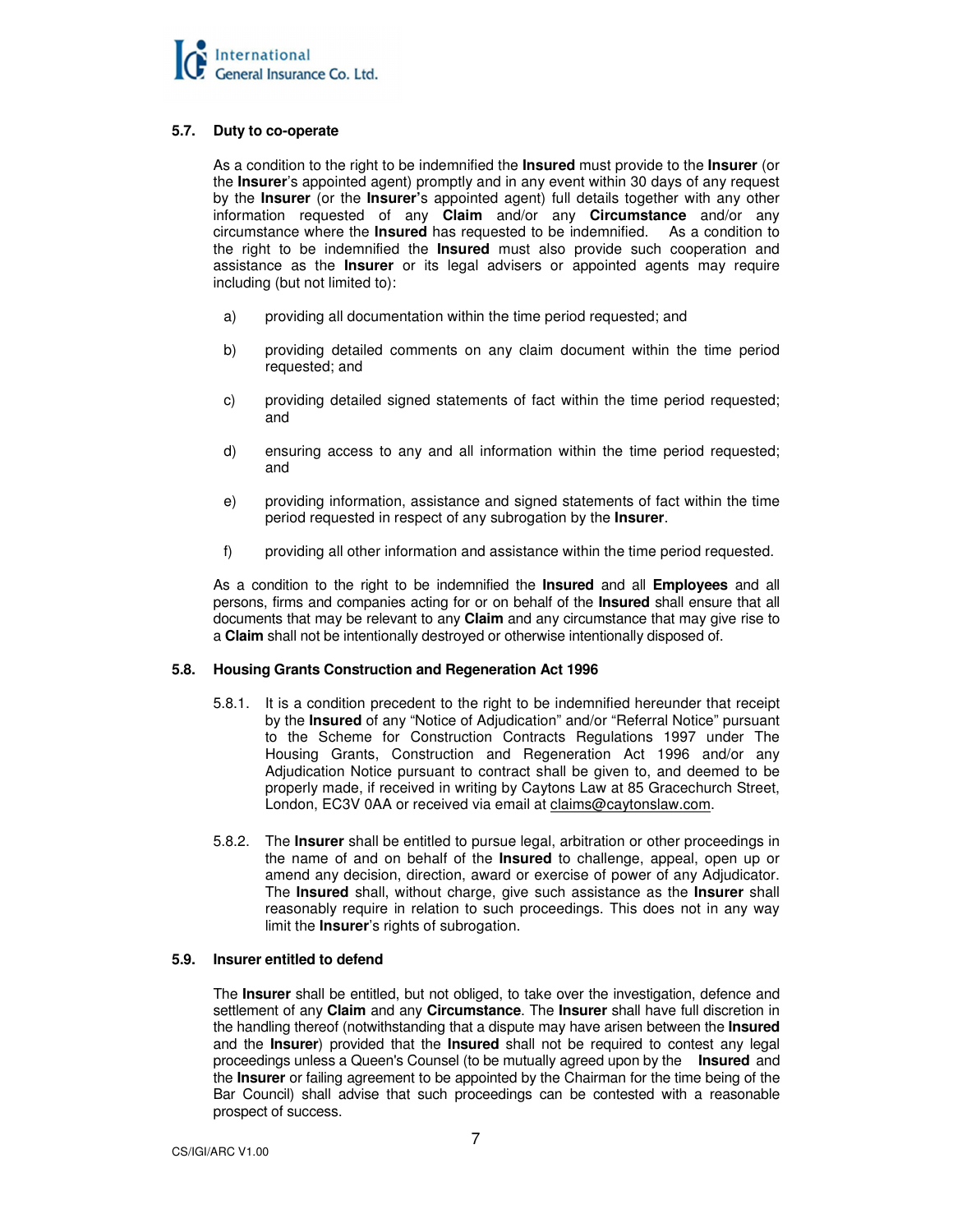# **5.7. Duty to co-operate**

 As a condition to the right to be indemnified the **Insured** must provide to the **Insurer** (or the **Insurer**'s appointed agent) promptly and in any event within 30 days of any request by the **Insurer** (or the **Insurer'**s appointed agent) full details together with any other information requested of any **Claim** and/or any **Circumstance** and/or any circumstance where the **Insured** has requested to be indemnified.As a condition to the right to be indemnified the **Insured** must also provide such cooperation and assistance as the **Insurer** or its legal advisers or appointed agents may require including (but not limited to):

- a) providing all documentation within the time period requested; and
- b) providing detailed comments on any claim document within the time period requested; and
- c) providing detailed signed statements of fact within the time period requested; and
- d) ensuring access to any and all information within the time period requested; and
- e) providing information, assistance and signed statements of fact within the time period requested in respect of any subrogation by the **Insurer**.
- f) providing all other information and assistance within the time period requested.

 As a condition to the right to be indemnified the **Insured** and all **Employees** and all persons, firms and companies acting for or on behalf of the **Insured** shall ensure that all documents that may be relevant to any **Claim** and any circumstance that may give rise to a **Claim** shall not be intentionally destroyed or otherwise intentionally disposed of.

# **5.8. Housing Grants Construction and Regeneration Act 1996**

- 5.8.1. It is a condition precedent to the right to be indemnified hereunder that receipt by the **Insured** of any "Notice of Adjudication" and/or "Referral Notice" pursuant to the Scheme for Construction Contracts Regulations 1997 under The Housing Grants, Construction and Regeneration Act 1996 and/or any Adjudication Notice pursuant to contract shall be given to, and deemed to be properly made, if received in writing by Caytons Law at 85 Gracechurch Street, London, EC3V 0AA or received via email at claims@caytonslaw.com.
- 5.8.2. The **Insurer** shall be entitled to pursue legal, arbitration or other proceedings in the name of and on behalf of the **Insured** to challenge, appeal, open up or amend any decision, direction, award or exercise of power of any Adjudicator. The **Insured** shall, without charge, give such assistance as the **Insurer** shall reasonably require in relation to such proceedings. This does not in any way limit the **Insurer**'s rights of subrogation.

# **5.9. Insurer entitled to defend**

 The **Insurer** shall be entitled, but not obliged, to take over the investigation, defence and settlement of any **Claim** and any **Circumstance**. The **Insurer** shall have full discretion in the handling thereof (notwithstanding that a dispute may have arisen between the **Insured** and the **Insurer**) provided that the **Insured** shall not be required to contest any legal proceedings unless a Queen's Counsel (to be mutually agreed upon by the **Insured** and the **Insurer** or failing agreement to be appointed by the Chairman for the time being of the Bar Council) shall advise that such proceedings can be contested with a reasonable prospect of success.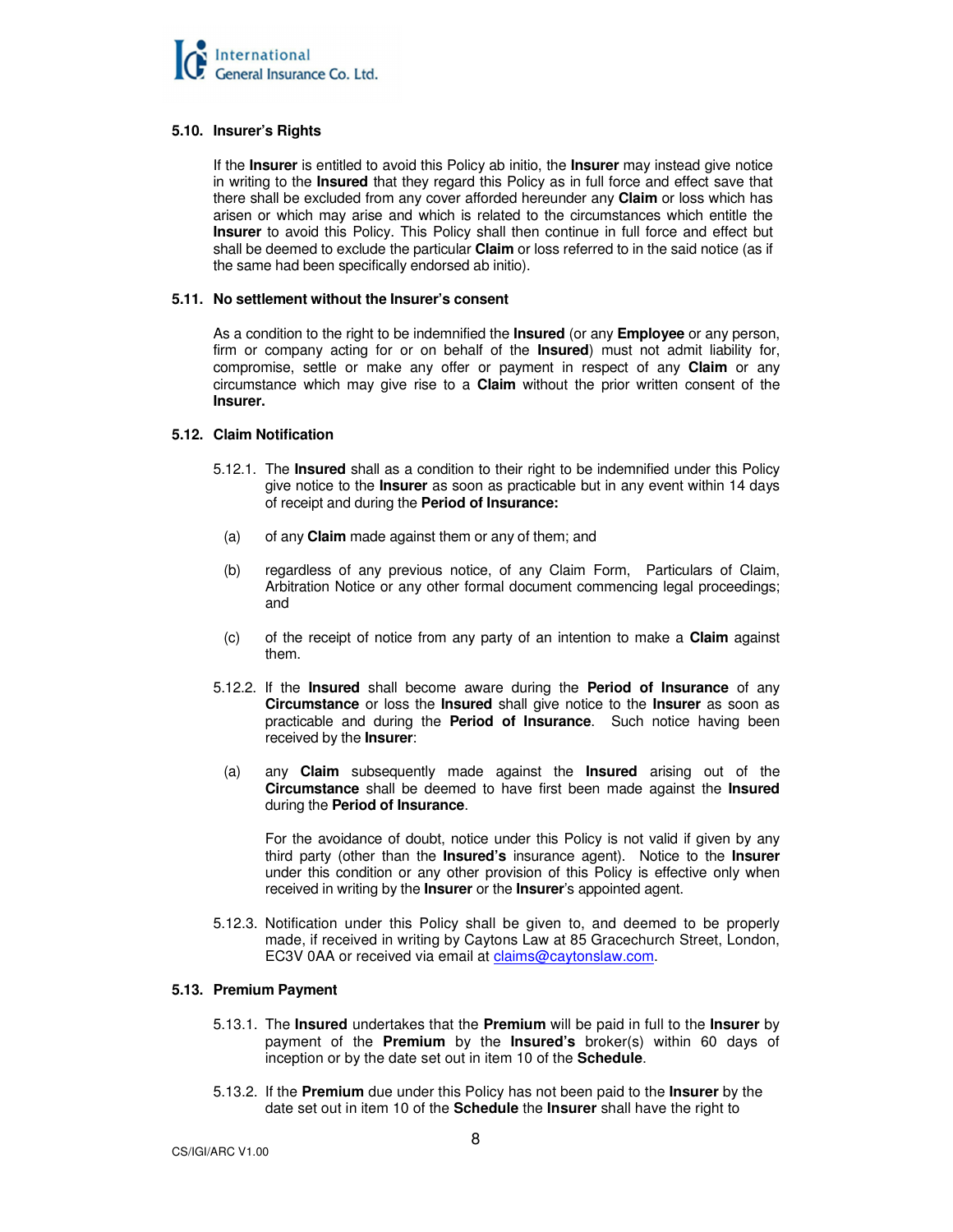# **5.10. Insurer's Rights**

 If the **Insurer** is entitled to avoid this Policy ab initio, the **Insurer** may instead give notice in writing to the **Insured** that they regard this Policy as in full force and effect save that there shall be excluded from any cover afforded hereunder any **Claim** or loss which has arisen or which may arise and which is related to the circumstances which entitle the **Insurer** to avoid this Policy. This Policy shall then continue in full force and effect but shall be deemed to exclude the particular **Claim** or loss referred to in the said notice (as if the same had been specifically endorsed ab initio).

# **5.11. No settlement without the Insurer's consent**

 As a condition to the right to be indemnified the **Insured** (or any **Employee** or any person, firm or company acting for or on behalf of the **Insured**) must not admit liability for, compromise, settle or make any offer or payment in respect of any **Claim** or any circumstance which may give rise to a **Claim** without the prior written consent of the **Insurer.** 

# **5.12. Claim Notification**

- 5.12.1. The **Insured** shall as a condition to their right to be indemnified under this Policy give notice to the **Insurer** as soon as practicable but in any event within 14 days of receipt and during the **Period of Insurance:**
	- (a) of any **Claim** made against them or any of them; and
- (b) regardless of any previous notice, of any Claim Form, Particulars of Claim, Arbitration Notice or any other formal document commencing legal proceedings; and
- (c) of the receipt of notice from any party of an intention to make a **Claim** against them.
- 5.12.2. If the **Insured** shall become aware during the **Period of Insurance** of any **Circumstance** or loss the **Insured** shall give notice to the **Insurer** as soon as practicable and during the **Period of Insurance**. Such notice having been received by the **Insurer**:
- (a) any **Claim** subsequently made against the **Insured** arising out of the **Circumstance** shall be deemed to have first been made against the **Insured**  during the **Period of Insurance**.

 For the avoidance of doubt, notice under this Policy is not valid if given by any third party (other than the **Insured's** insurance agent). Notice to the **Insurer** under this condition or any other provision of this Policy is effective only when received in writing by the **Insurer** or the **Insurer**'s appointed agent.

5.12.3. Notification under this Policy shall be given to, and deemed to be properly made, if received in writing by Caytons Law at 85 Gracechurch Street, London, EC3V 0AA or received via email at claims@caytonslaw.com.

# **5.13. Premium Payment**

- 5.13.1. The **Insured** undertakes that the **Premium** will be paid in full to the **Insurer** by payment of the **Premium** by the **Insured's** broker(s) within 60 days of inception or by the date set out in item 10 of the **Schedule**.
- 5.13.2. If the **Premium** due under this Policy has not been paid to the **Insurer** by the date set out in item 10 of the **Schedule** the **Insurer** shall have the right to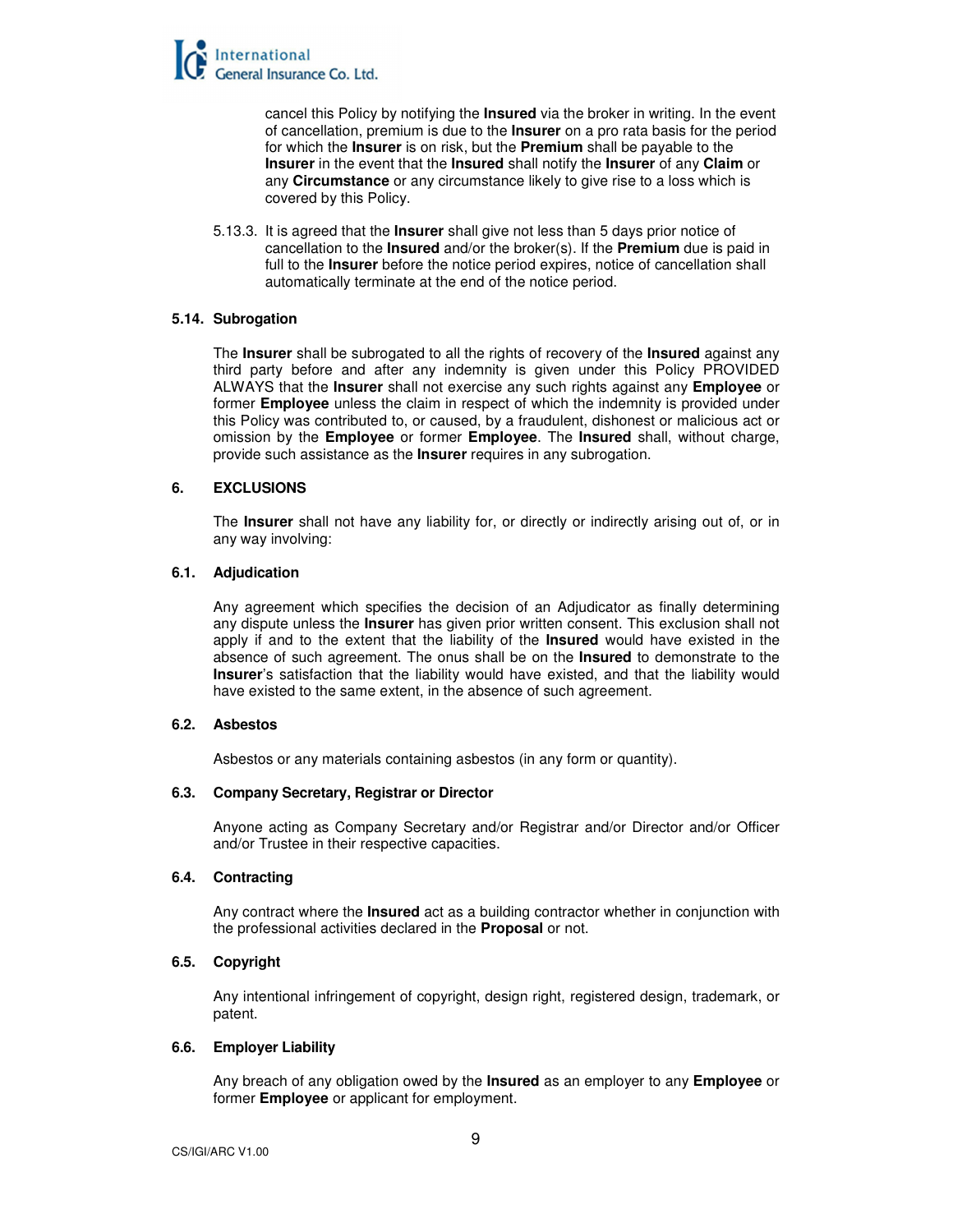

cancel this Policy by notifying the **Insured** via the broker in writing. In the event of cancellation, premium is due to the **Insurer** on a pro rata basis for the period for which the **Insurer** is on risk, but the **Premium** shall be payable to the **Insurer** in the event that the **Insured** shall notify the **Insurer** of any **Claim** or any **Circumstance** or any circumstance likely to give rise to a loss which is covered by this Policy.

5.13.3. It is agreed that the **Insurer** shall give not less than 5 days prior notice of cancellation to the **Insured** and/or the broker(s). If the **Premium** due is paid in full to the **Insurer** before the notice period expires, notice of cancellation shall automatically terminate at the end of the notice period.

# **5.14. Subrogation**

 The **Insurer** shall be subrogated to all the rights of recovery of the **Insured** against any third party before and after any indemnity is given under this Policy PROVIDED ALWAYS that the **Insurer** shall not exercise any such rights against any **Employee** or former **Employee** unless the claim in respect of which the indemnity is provided under this Policy was contributed to, or caused, by a fraudulent, dishonest or malicious act or omission by the **Employee** or former **Employee**. The **Insured** shall, without charge, provide such assistance as the **Insurer** requires in any subrogation.

# **6. EXCLUSIONS**

The **Insurer** shall not have any liability for, or directly or indirectly arising out of, or in any way involving:

# **6.1. Adjudication**

Any agreement which specifies the decision of an Adjudicator as finally determining any dispute unless the **Insurer** has given prior written consent. This exclusion shall not apply if and to the extent that the liability of the **Insured** would have existed in the absence of such agreement. The onus shall be on the **Insured** to demonstrate to the **Insurer**'s satisfaction that the liability would have existed, and that the liability would have existed to the same extent, in the absence of such agreement.

#### **6.2. Asbestos**

Asbestos or any materials containing asbestos (in any form or quantity).

#### **6.3. Company Secretary, Registrar or Director**

Anyone acting as Company Secretary and/or Registrar and/or Director and/or Officer and/or Trustee in their respective capacities.

#### **6.4. Contracting**

Any contract where the **Insured** act as a building contractor whether in conjunction with the professional activities declared in the **Proposal** or not.

#### **6.5. Copyright**

Any intentional infringement of copyright, design right, registered design, trademark, or patent.

#### **6.6. Employer Liability**

Any breach of any obligation owed by the **Insured** as an employer to any **Employee** or former **Employee** or applicant for employment.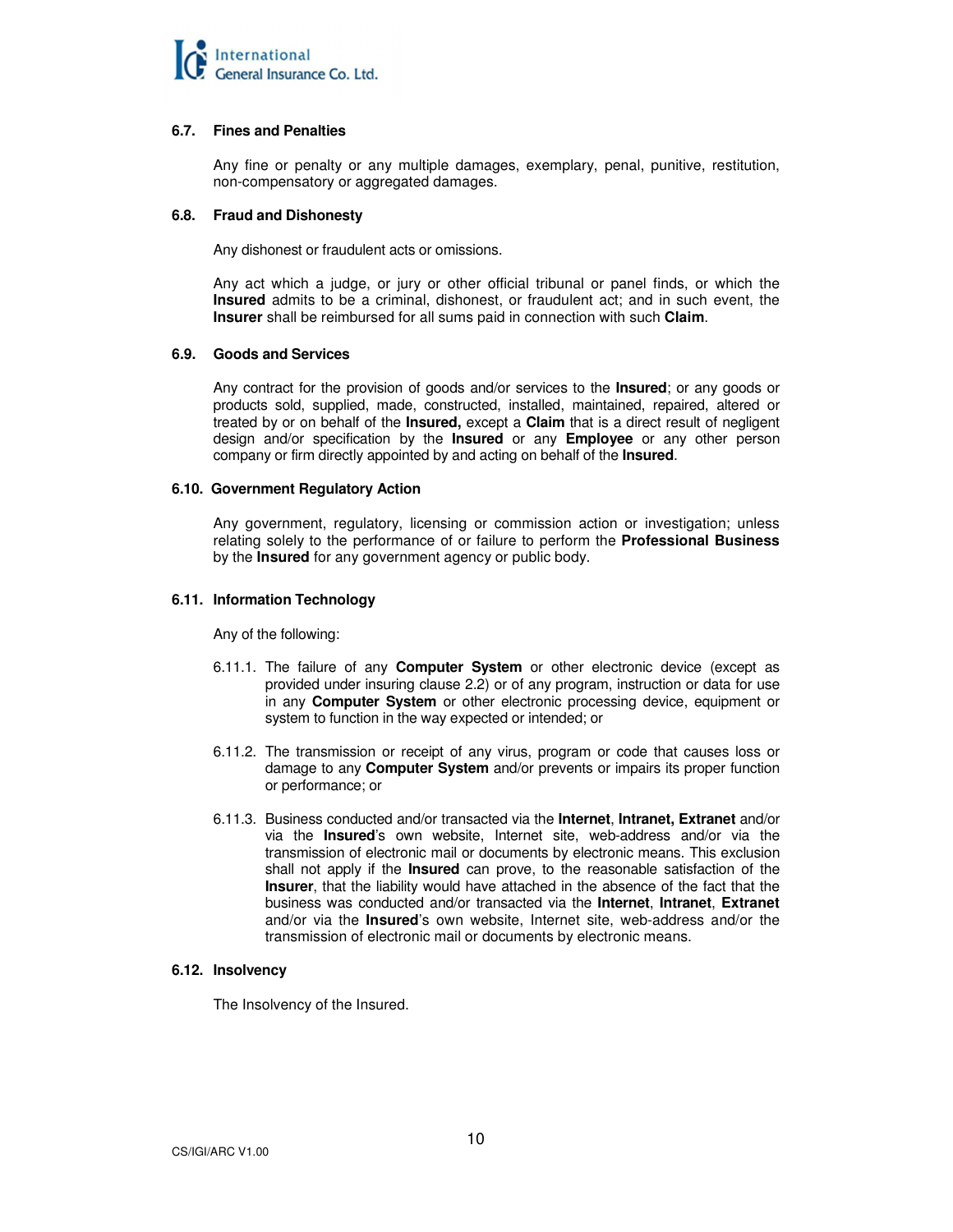

# **6.7. Fines and Penalties**

Any fine or penalty or any multiple damages, exemplary, penal, punitive, restitution, non-compensatory or aggregated damages.

# **6.8. Fraud and Dishonesty**

Any dishonest or fraudulent acts or omissions.

 Any act which a judge, or jury or other official tribunal or panel finds, or which the **Insured** admits to be a criminal, dishonest, or fraudulent act; and in such event, the **Insurer** shall be reimbursed for all sums paid in connection with such **Claim**.

# **6.9. Goods and Services**

 Any contract for the provision of goods and/or services to the **Insured**; or any goods or products sold, supplied, made, constructed, installed, maintained, repaired, altered or treated by or on behalf of the **Insured,** except a **Claim** that is a direct result of negligent design and/or specification by the **Insured** or any **Employee** or any other person company or firm directly appointed by and acting on behalf of the **Insured**.

# **6.10. Government Regulatory Action**

 Any government, regulatory, licensing or commission action or investigation; unless relating solely to the performance of or failure to perform the **Professional Business**  by the **Insured** for any government agency or public body.

# **6.11. Information Technology**

Any of the following:

- 6.11.1. The failure of any **Computer System** or other electronic device (except as provided under insuring clause 2.2) or of any program, instruction or data for use in any **Computer System** or other electronic processing device, equipment or system to function in the way expected or intended; or
- 6.11.2. The transmission or receipt of any virus, program or code that causes loss or damage to any **Computer System** and/or prevents or impairs its proper function or performance; or
- 6.11.3. Business conducted and/or transacted via the **Internet**, **Intranet, Extranet** and/or via the **Insured**'s own website, Internet site, web-address and/or via the transmission of electronic mail or documents by electronic means. This exclusion shall not apply if the **Insured** can prove, to the reasonable satisfaction of the **Insurer**, that the liability would have attached in the absence of the fact that the business was conducted and/or transacted via the **Internet**, **Intranet**, **Extranet** and/or via the **Insured**'s own website, Internet site, web-address and/or the transmission of electronic mail or documents by electronic means.

# **6.12. Insolvency**

The Insolvency of the Insured.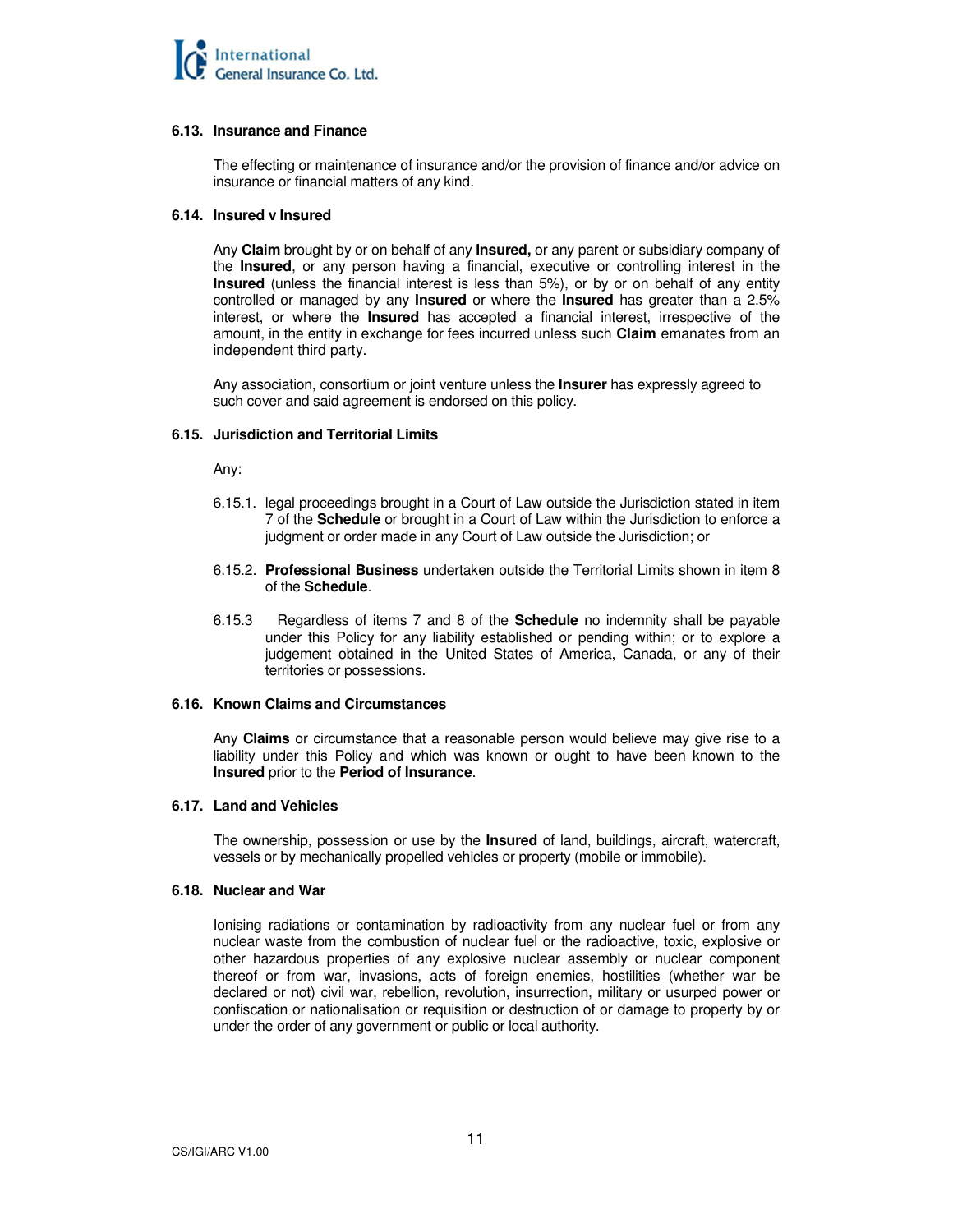#### **6.13. Insurance and Finance**

The effecting or maintenance of insurance and/or the provision of finance and/or advice on insurance or financial matters of any kind.

# **6.14. Insured v Insured**

Any **Claim** brought by or on behalf of any **Insured,** or any parent or subsidiary company of the **Insured**, or any person having a financial, executive or controlling interest in the **Insured** (unless the financial interest is less than 5%), or by or on behalf of any entity controlled or managed by any **Insured** or where the **Insured** has greater than a 2.5% interest, or where the **Insured** has accepted a financial interest, irrespective of the amount, in the entity in exchange for fees incurred unless such **Claim** emanates from an independent third party.

Any association, consortium or joint venture unless the **Insurer** has expressly agreed to such cover and said agreement is endorsed on this policy.

# **6.15. Jurisdiction and Territorial Limits**

Any:

- 6.15.1. legal proceedings brought in a Court of Law outside the Jurisdiction stated in item 7 of the **Schedule** or brought in a Court of Law within the Jurisdiction to enforce a judgment or order made in any Court of Law outside the Jurisdiction; or
- 6.15.2. **Professional Business** undertaken outside the Territorial Limits shown in item 8 of the **Schedule**.
- 6.15.3 Regardless of items 7 and 8 of the **Schedule** no indemnity shall be payable under this Policy for any liability established or pending within; or to explore a judgement obtained in the United States of America, Canada, or any of their territories or possessions.

#### **6.16. Known Claims and Circumstances**

 Any **Claims** or circumstance that a reasonable person would believe may give rise to a liability under this Policy and which was known or ought to have been known to the **Insured** prior to the **Period of Insurance**.

#### **6.17. Land and Vehicles**

 The ownership, possession or use by the **Insured** of land, buildings, aircraft, watercraft, vessels or by mechanically propelled vehicles or property (mobile or immobile).

#### **6.18. Nuclear and War**

 Ionising radiations or contamination by radioactivity from any nuclear fuel or from any nuclear waste from the combustion of nuclear fuel or the radioactive, toxic, explosive or other hazardous properties of any explosive nuclear assembly or nuclear component thereof or from war, invasions, acts of foreign enemies, hostilities (whether war be declared or not) civil war, rebellion, revolution, insurrection, military or usurped power or confiscation or nationalisation or requisition or destruction of or damage to property by or under the order of any government or public or local authority.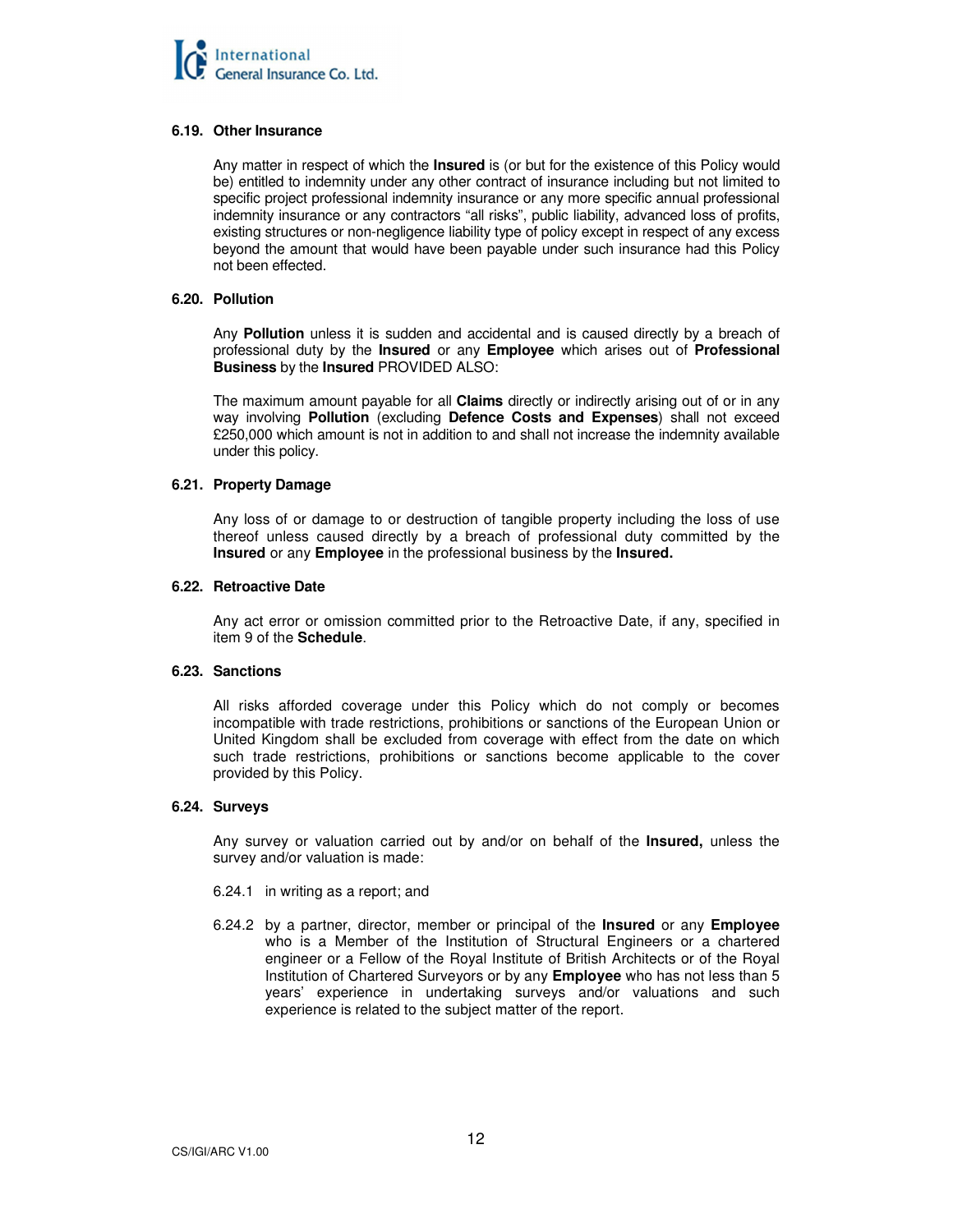# **6.19. Other Insurance**

Any matter in respect of which the **Insured** is (or but for the existence of this Policy would be) entitled to indemnity under any other contract of insurance including but not limited to specific project professional indemnity insurance or any more specific annual professional indemnity insurance or any contractors "all risks", public liability, advanced loss of profits, existing structures or non-negligence liability type of policy except in respect of any excess beyond the amount that would have been payable under such insurance had this Policy not been effected.

#### **6.20. Pollution**

 Any **Pollution** unless it is sudden and accidental and is caused directly by a breach of professional duty by the **Insured** or any **Employee** which arises out of **Professional Business** by the **Insured** PROVIDED ALSO:

The maximum amount payable for all **Claims** directly or indirectly arising out of or in any way involving **Pollution** (excluding **Defence Costs and Expenses**) shall not exceed £250,000 which amount is not in addition to and shall not increase the indemnity available under this policy.

# **6.21. Property Damage**

Any loss of or damage to or destruction of tangible property including the loss of use thereof unless caused directly by a breach of professional duty committed by the **Insured** or any **Employee** in the professional business by the **Insured.** 

# **6.22. Retroactive Date**

Any act error or omission committed prior to the Retroactive Date, if any, specified in item 9 of the **Schedule**.

# **6.23. Sanctions**

All risks afforded coverage under this Policy which do not comply or becomes incompatible with trade restrictions, prohibitions or sanctions of the European Union or United Kingdom shall be excluded from coverage with effect from the date on which such trade restrictions, prohibitions or sanctions become applicable to the cover provided by this Policy.

# **6.24. Surveys**

Any survey or valuation carried out by and/or on behalf of the **Insured,** unless the survey and/or valuation is made:

- 6.24.1 in writing as a report; and
- 6.24.2 by a partner, director, member or principal of the **Insured** or any **Employee** who is a Member of the Institution of Structural Engineers or a chartered engineer or a Fellow of the Royal Institute of British Architects or of the Royal Institution of Chartered Surveyors or by any **Employee** who has not less than 5 years' experience in undertaking surveys and/or valuations and such experience is related to the subject matter of the report.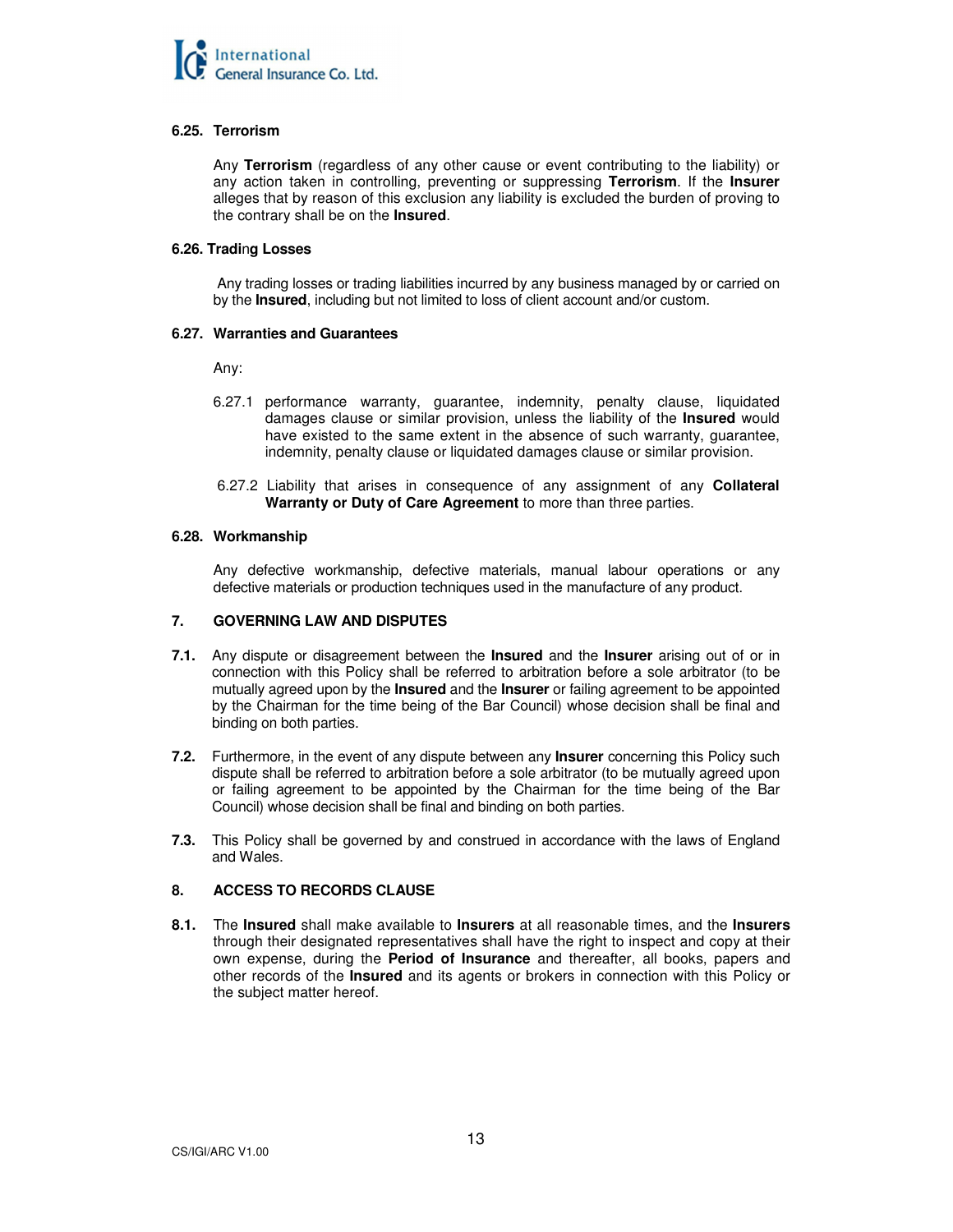

# **6.25. Terrorism**

Any **Terrorism** (regardless of any other cause or event contributing to the liability) or any action taken in controlling, preventing or suppressing **Terrorism**. If the **Insurer** alleges that by reason of this exclusion any liability is excluded the burden of proving to the contrary shall be on the **Insured**.

# **6.26. Tradi**n**g Losses**

 Any trading losses or trading liabilities incurred by any business managed by or carried on by the **Insured**, including but not limited to loss of client account and/or custom.

# **6.27. Warranties and Guarantees**

Any:

- 6.27.1 performance warranty, guarantee, indemnity, penalty clause, liquidated damages clause or similar provision, unless the liability of the **Insured** would have existed to the same extent in the absence of such warranty, guarantee, indemnity, penalty clause or liquidated damages clause or similar provision.
- 6.27.2 Liability that arises in consequence of any assignment of any **Collateral Warranty or Duty of Care Agreement** to more than three parties.

# **6.28. Workmanship**

Any defective workmanship, defective materials, manual labour operations or any defective materials or production techniques used in the manufacture of any product.

# **7. GOVERNING LAW AND DISPUTES**

- **7.1.** Any dispute or disagreement between the **Insured** and the **Insurer** arising out of or in connection with this Policy shall be referred to arbitration before a sole arbitrator (to be mutually agreed upon by the **Insured** and the **Insurer** or failing agreement to be appointed by the Chairman for the time being of the Bar Council) whose decision shall be final and binding on both parties.
- **7.2.** Furthermore, in the event of any dispute between any **Insurer** concerning this Policy such dispute shall be referred to arbitration before a sole arbitrator (to be mutually agreed upon or failing agreement to be appointed by the Chairman for the time being of the Bar Council) whose decision shall be final and binding on both parties.
- **7.3.** This Policy shall be governed by and construed in accordance with the laws of England and Wales.

# **8. ACCESS TO RECORDS CLAUSE**

**8.1.** The **Insured** shall make available to **Insurers** at all reasonable times, and the **Insurers** through their designated representatives shall have the right to inspect and copy at their own expense, during the **Period of Insurance** and thereafter, all books, papers and other records of the **Insured** and its agents or brokers in connection with this Policy or the subject matter hereof.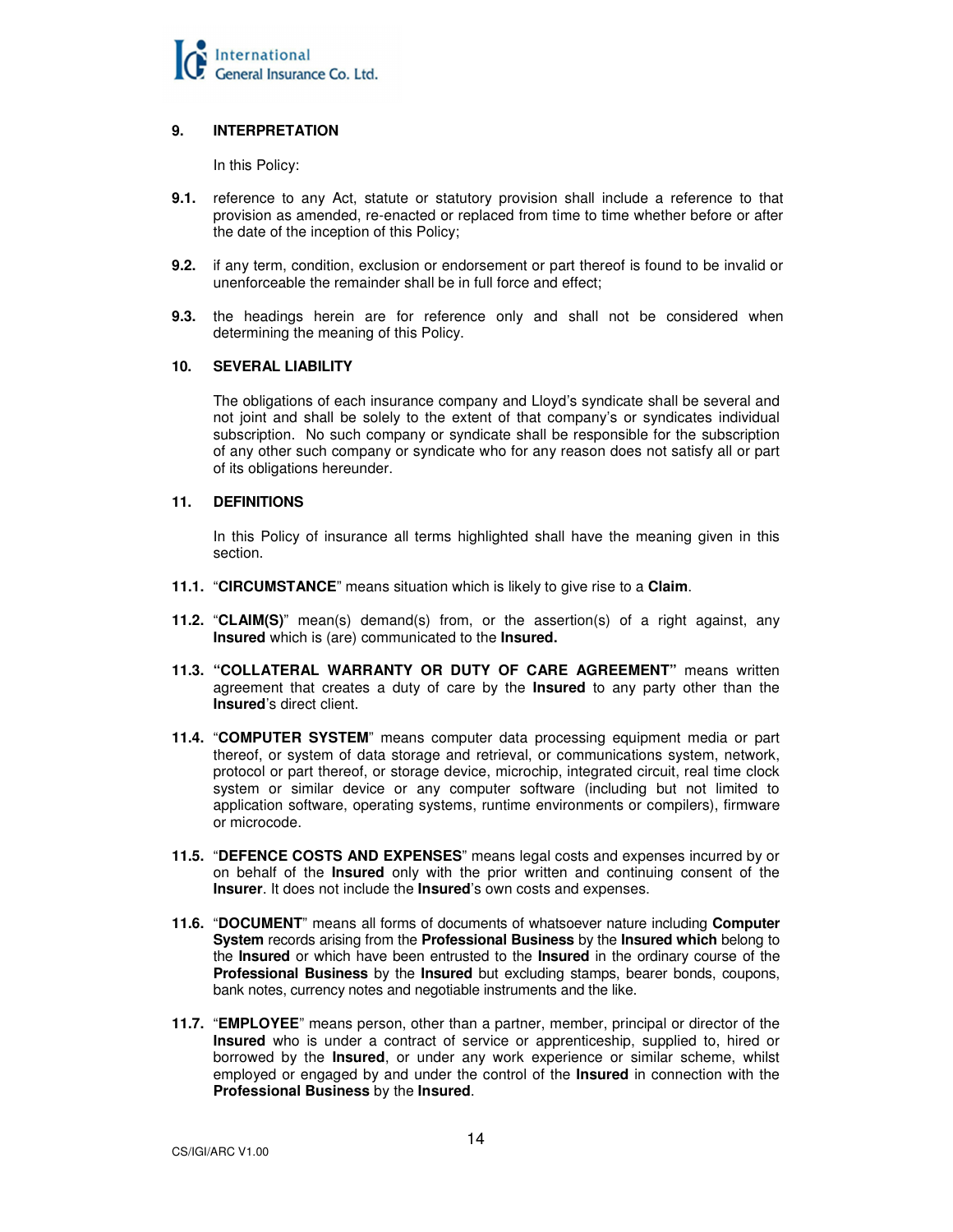

# **9. INTERPRETATION**

In this Policy:

- **9.1.** reference to any Act, statute or statutory provision shall include a reference to that provision as amended, re-enacted or replaced from time to time whether before or after the date of the inception of this Policy;
- **9.2.** if any term, condition, exclusion or endorsement or part thereof is found to be invalid or unenforceable the remainder shall be in full force and effect;
- **9.3.** the headings herein are for reference only and shall not be considered when determining the meaning of this Policy.

# **10. SEVERAL LIABILITY**

The obligations of each insurance company and Lloyd's syndicate shall be several and not joint and shall be solely to the extent of that company's or syndicates individual subscription. No such company or syndicate shall be responsible for the subscription of any other such company or syndicate who for any reason does not satisfy all or part of its obligations hereunder.

# **11. DEFINITIONS**

 In this Policy of insurance all terms highlighted shall have the meaning given in this section.

- **11.1.** "**CIRCUMSTANCE**" means situation which is likely to give rise to a **Claim**.
- **11.2.** "**CLAIM(S)**" mean(s) demand(s) from, or the assertion(s) of a right against, any **Insured** which is (are) communicated to the **Insured.**
- **11.3. "COLLATERAL WARRANTY OR DUTY OF CARE AGREEMENT"** means written agreement that creates a duty of care by the **Insured** to any party other than the **Insured**'s direct client.
- **11.4.** "**COMPUTER SYSTEM**" means computer data processing equipment media or part thereof, or system of data storage and retrieval, or communications system, network, protocol or part thereof, or storage device, microchip, integrated circuit, real time clock system or similar device or any computer software (including but not limited to application software, operating systems, runtime environments or compilers), firmware or microcode.
- **11.5.** "**DEFENCE COSTS AND EXPENSES**" means legal costs and expenses incurred by or on behalf of the **Insured** only with the prior written and continuing consent of the **Insurer**. It does not include the **Insured**'s own costs and expenses.
- **11.6.** "**DOCUMENT**" means all forms of documents of whatsoever nature including **Computer System** records arising from the **Professional Business** by the **Insured which** belong to the **Insured** or which have been entrusted to the **Insured** in the ordinary course of the **Professional Business** by the **Insured** but excluding stamps, bearer bonds, coupons, bank notes, currency notes and negotiable instruments and the like.
- **11.7.** "**EMPLOYEE**" means person, other than a partner, member, principal or director of the **Insured** who is under a contract of service or apprenticeship, supplied to, hired or borrowed by the **Insured**, or under any work experience or similar scheme, whilst employed or engaged by and under the control of the **Insured** in connection with the **Professional Business** by the **Insured**.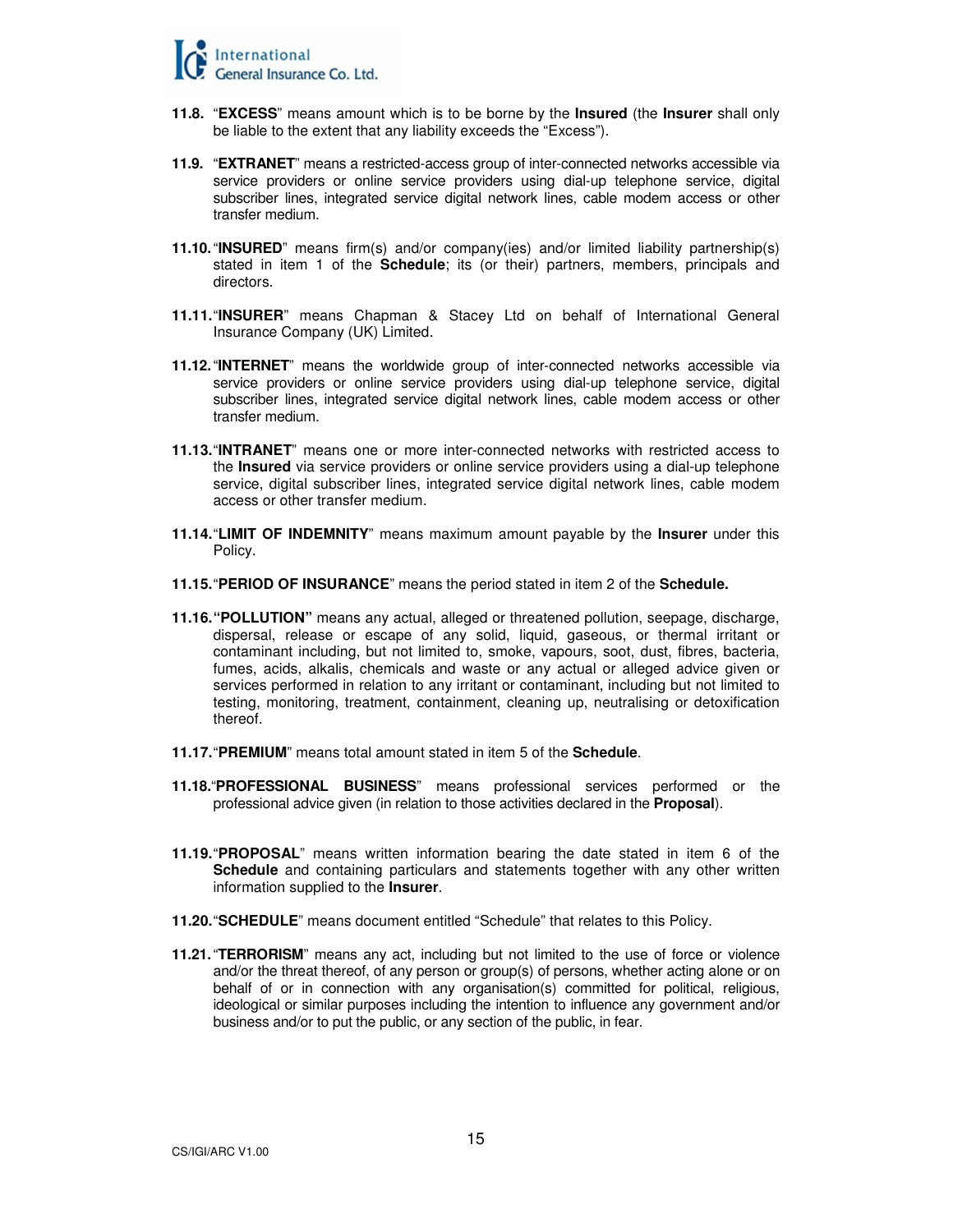

- **11.8.** "**EXCESS**" means amount which is to be borne by the **Insured** (the **Insurer** shall only be liable to the extent that any liability exceeds the "Excess").
- **11.9.** "**EXTRANET**" means a restricted-access group of inter-connected networks accessible via service providers or online service providers using dial-up telephone service, digital subscriber lines, integrated service digital network lines, cable modem access or other transfer medium.
- **11.10.** "**INSURED**" means firm(s) and/or company(ies) and/or limited liability partnership(s) stated in item 1 of the **Schedule**; its (or their) partners, members, principals and directors.
- **11.11.** "**INSURER**" means Chapman & Stacey Ltd on behalf of International General Insurance Company (UK) Limited.
- **11.12.** "**INTERNET**" means the worldwide group of inter-connected networks accessible via service providers or online service providers using dial-up telephone service, digital subscriber lines, integrated service digital network lines, cable modem access or other transfer medium.
- **11.13.** "**INTRANET**" means one or more inter-connected networks with restricted access to the **Insured** via service providers or online service providers using a dial-up telephone service, digital subscriber lines, integrated service digital network lines, cable modem access or other transfer medium.
- **11.14.** "**LIMIT OF INDEMNITY**" means maximum amount payable by the **Insurer** under this Policy.
- **11.15.** "**PERIOD OF INSURANCE**" means the period stated in item 2 of the **Schedule.**
- **11.16."POLLUTION"** means any actual, alleged or threatened pollution, seepage, discharge, dispersal, release or escape of any solid, liquid, gaseous, or thermal irritant or contaminant including, but not limited to, smoke, vapours, soot, dust, fibres, bacteria, fumes, acids, alkalis, chemicals and waste or any actual or alleged advice given or services performed in relation to any irritant or contaminant, including but not limited to testing, monitoring, treatment, containment, cleaning up, neutralising or detoxification thereof.
- **11.17.** "**PREMIUM**" means total amount stated in item 5 of the **Schedule**.
- **11.18.**"**PROFESSIONAL BUSINESS**" means professional services performed or the professional advice given (in relation to those activities declared in the **Proposal**).
- **11.19.** "**PROPOSAL**" means written information bearing the date stated in item 6 of the **Schedule** and containing particulars and statements together with any other written information supplied to the **Insurer**.
- **11.20.** "**SCHEDULE**" means document entitled "Schedule" that relates to this Policy.
- **11.21.** "**TERRORISM**" means any act, including but not limited to the use of force or violence and/or the threat thereof, of any person or group(s) of persons, whether acting alone or on behalf of or in connection with any organisation(s) committed for political, religious, ideological or similar purposes including the intention to influence any government and/or business and/or to put the public, or any section of the public, in fear.